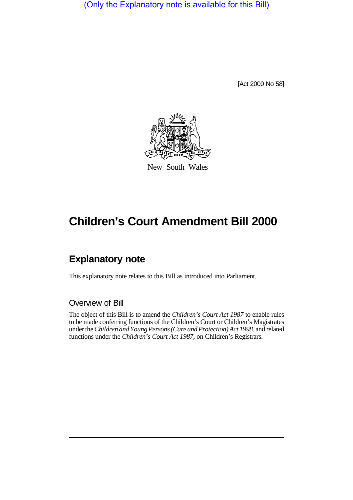(Only the Explanatory note is available for this Bill)

[Act 2000 No 58]



New South Wales

# **Children's Court Amendment Bill 2000**

# **Explanatory note**

This explanatory note relates to this Bill as introduced into Parliament.

#### Overview of Bill

The object of this Bill is to amend the *Children's Court Act 1987* to enable rules to be made conferring functions of the Children's Court or Children's Magistrates under the *Children and Young Persons (Care and Protection) Act 1998*, and related functions under the *Children's Court Act 1987*, on Children's Registrars.